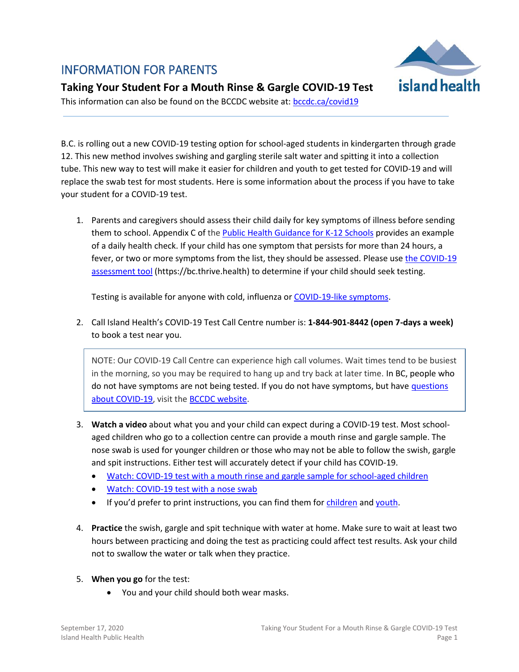# INFORMATION FOR PARENTS



## **Taking Your Student For a Mouth Rinse & Gargle COVID-19 Test**

This information can also be found on the BCCDC website at: [bccdc.ca/covid19](http://www.bccdc.ca/health-info/diseases-conditions/covid-19/testing/children-youth)

B.C. is rolling out a new COVID-19 testing option for school-aged students in kindergarten through grade 12. This new method involves swishing and gargling sterile salt water and spitting it into a collection tube. This new way to test will make it easier for children and youth to get tested for COVID-19 and will replace the swab test for most students. Here is some information about the process if you have to take your student for a COVID-19 test.

1. Parents and caregivers should assess their child daily for key symptoms of illness before sending them to school. Appendix C of the **Public Health Guidance for K-12 Schools** provides an example of a daily health check. If your child has one symptom that persists for more than 24 hours, a fever, or two or more symptoms from the list, they should be assessed. Please use the COVID-19 [assessment tool](https://bc.thrive.health/) (https://bc.thrive.health) to determine if your child should seek testing.

Testing is available for anyone with cold, influenza or [COVID-19-like symptoms.](http://www.bccdc.ca/health-info/diseases-conditions/covid-19/about-covid-19/symptoms)

2. Call Island Health's COVID-19 Test Call Centre number is: **1-844-901-8442 (open 7-days a week)**  to book a test near you.

NOTE: Our COVID-19 Call Centre can experience high call volumes. Wait times tend to be busiest in the morning, so you may be required to hang up and try back at later time. In BC, people who do not have symptoms are not being tested. If you do not have symptoms, but have [questions](http://www.bccdc.ca/health-info/diseases-conditions/covid-19/common-questions)  [about COVID-19,](http://www.bccdc.ca/health-info/diseases-conditions/covid-19/common-questions) visit th[e BCCDC website.](http://www.bccdc.ca/health-info/diseases-conditions/covid-19/common-questions)

- 3. **Watch a video** about what you and your child can expect during a COVID-19 test. Most schoolaged children who go to a collection centre can provide a mouth rinse and gargle sample. The nose swab is used for younger children or those who may not be able to follow the swish, gargle and spit instructions. Either test will accurately detect if your child has COVID-19.
	- [Watch: COVID-19 test with a mouth rinse and gargle sample for school-aged children](https://youtu.be/ZvqjkbD-moA)
	- [Watch: COVID-19 test with a nose swab](https://youtu.be/AhC6_JXagxE)
	- If you'd prefer to print instructions, you can find them for [children](https://www.islandhealth.ca/sites/default/files/covid-19/documents/gargle-instructions-handout-child-caregiver.pdf) an[d youth.](https://www.islandhealth.ca/sites/default/files/covid-19/documents/gargle-instructions-handout-youth.pdf)
- 4. **Practice** the swish, gargle and spit technique with water at home. Make sure to wait at least two hours between practicing and doing the test as practicing could affect test results. Ask your child not to swallow the water or talk when they practice.
- 5. **When you go** for the test:
	- You and your child should both wear masks.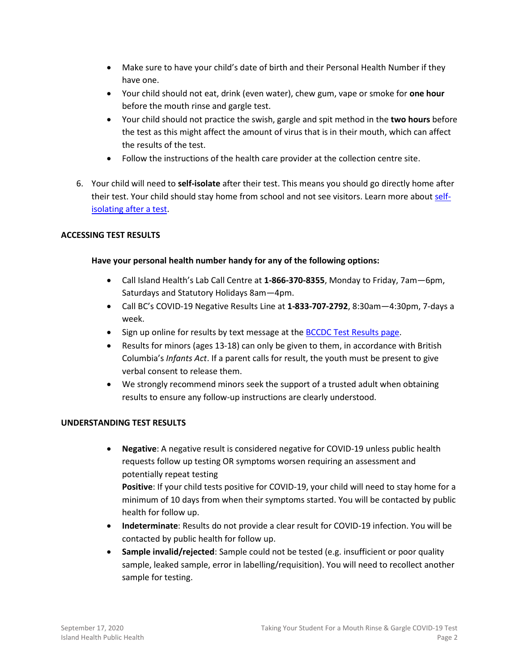- Make sure to have your child's date of birth and their Personal Health Number if they have one.
- Your child should not eat, drink (even water), chew gum, vape or smoke for **one hour** before the mouth rinse and gargle test.
- Your child should not practice the swish, gargle and spit method in the **two hours** before the test as this might affect the amount of virus that is in their mouth, which can affect the results of the test.
- Follow the instructions of the health care provider at the collection centre site.
- 6. Your child will need to **self-isolate** after their test. This means you should go directly home after their test. Your child should stay home from school and not see visitors. Learn more about [self](http://www.bccdc.ca/resource-gallery/Documents/Guidelines%20and%20Forms/Guidelines%20and%20Manuals/Epid/CD%20Manual/Chapter%201%20-%20CDC/COVID19-self-isolation-post-testing.pdf)[isolating after a test.](http://www.bccdc.ca/resource-gallery/Documents/Guidelines%20and%20Forms/Guidelines%20and%20Manuals/Epid/CD%20Manual/Chapter%201%20-%20CDC/COVID19-self-isolation-post-testing.pdf)

#### **ACCESSING TEST RESULTS**

#### **Have your personal health number handy for any of the following options:**

- Call Island Health's Lab Call Centre at **1-866-370-8355**, Monday to Friday, 7am—6pm, Saturdays and Statutory Holidays 8am—4pm.
- Call BC's COVID-19 Negative Results Line at **1-833-707-2792**, 8:30am—4:30pm, 7-days a week.
- Sign up online for results by text message at the [BCCDC Test Results page.](http://www.bccdc.ca/health-info/diseases-conditions/covid-19/testing/test-results)
- Results for minors (ages 13-18) can only be given to them, in accordance with British Columbia's *Infants Act*. If a parent calls for result, the youth must be present to give verbal consent to release them.
- We strongly recommend minors seek the support of a trusted adult when obtaining results to ensure any follow-up instructions are clearly understood.

#### **UNDERSTANDING TEST RESULTS**

 **Negative**: A negative result is considered negative for COVID-19 unless public health requests follow up testing OR symptoms worsen requiring an assessment and potentially repeat testing

**Positive**: If your child tests positive for COVID-19, your child will need to stay home for a minimum of 10 days from when their symptoms started. You will be contacted by public health for follow up.

- **Indeterminate**: Results do not provide a clear result for COVID-19 infection. You will be contacted by public health for follow up.
- **Sample invalid/rejected**: Sample could not be tested (e.g. insufficient or poor quality sample, leaked sample, error in labelling/requisition). You will need to recollect another sample for testing.